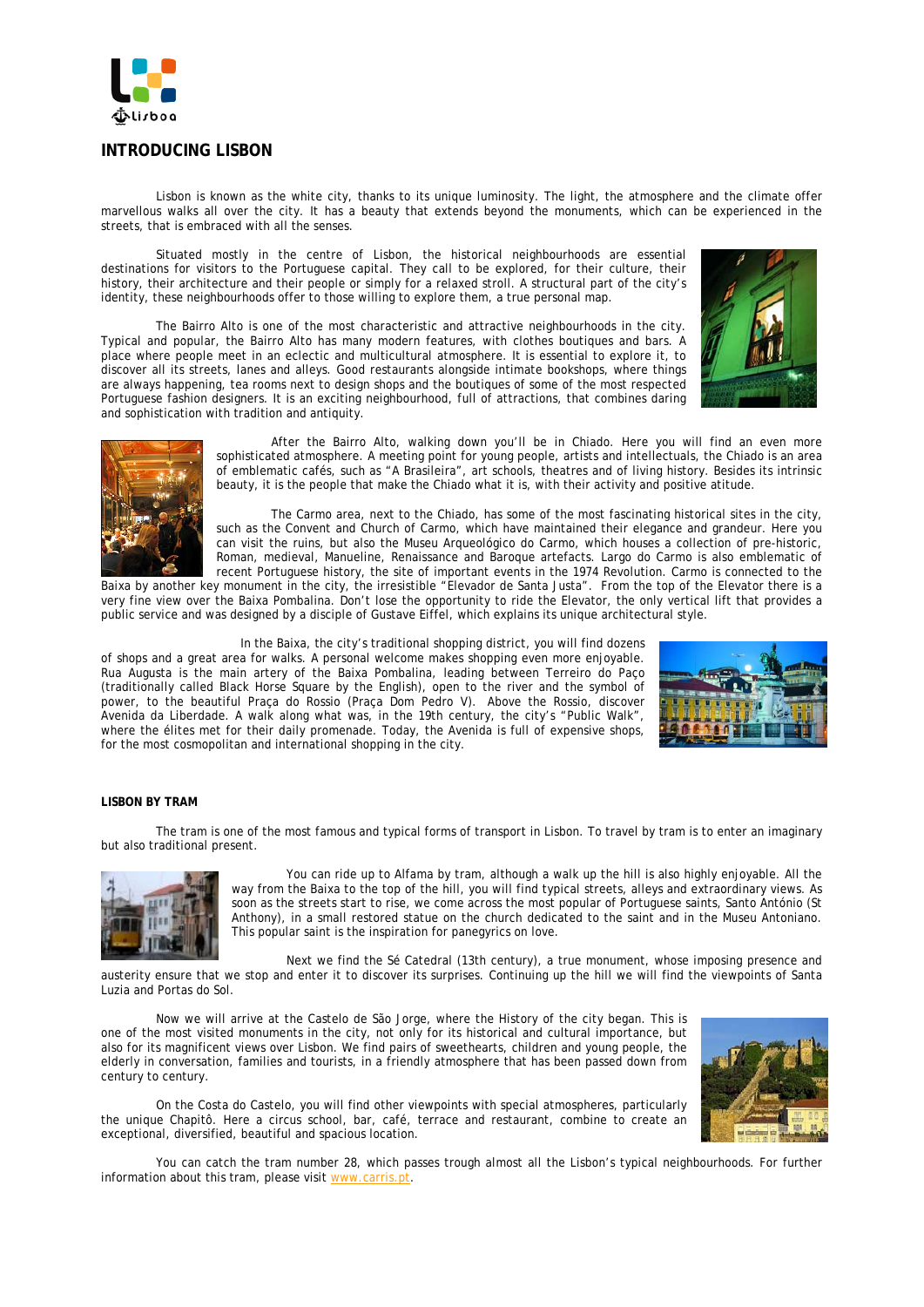

# **INTRODUCING LISBON**

Lisbon is known as the white city, thanks to its unique luminosity. The light, the atmosphere and the climate offer marvellous walks all over the city. It has a beauty that extends beyond the monuments, which can be experienced in the streets, that is embraced with all the senses.

Situated mostly in the centre of Lisbon, the historical neighbourhoods are essential destinations for visitors to the Portuguese capital. They call to be explored, for their culture, their history, their architecture and their people or simply for a relaxed stroll. A structural part of the city's identity, these neighbourhoods offer to those willing to explore them, a true personal map.

The Bairro Alto is one of the most characteristic and attractive neighbourhoods in the city. Typical and popular, the Bairro Alto has many modern features, with clothes boutiques and bars. A place where people meet in an eclectic and multicultural atmosphere. It is essential to explore it, to discover all its streets, lanes and alleys. Good restaurants alongside intimate bookshops, where things are always happening, tea rooms next to design shops and the boutiques of some of the most respected Portuguese fashion designers. It is an exciting neighbourhood, full of attractions, that combines daring and sophistication with tradition and antiquity.





After the Bairro Alto, walking down you'll be in Chiado. Here you will find an even more sophisticated atmosphere. A meeting point for young people, artists and intellectuals, the Chiado is an area of emblematic cafés, such as "A Brasileira", art schools, theatres and of living history. Besides its intrinsic beauty, it is the people that make the Chiado what it is, with their activity and positive atitude.

The Carmo area, next to the Chiado, has some of the most fascinating historical sites in the city, such as the Convent and Church of Carmo, which have maintained their elegance and grandeur. Here you can visit the ruins, but also the Museu Arqueológico do Carmo, which houses a collection of pre-historic, Roman, medieval, Manueline, Renaissance and Baroque artefacts. Largo do Carmo is also emblematic of recent Portuguese history, the site of important events in the 1974 Revolution. Carmo is connected to the

Baixa by another key monument in the city, the irresistible "Elevador de Santa Justa". From the top of the Elevator there is a very fine view over the Baixa Pombalina. Don't lose the opportunity to ride the Elevator, the only vertical lift that provides a public service and was designed by a disciple of Gustave Eiffel, which explains its unique architectural style.

In the Baixa, the city's traditional shopping district, you will find dozens of shops and a great area for walks. A personal welcome makes shopping even more enjoyable. Rua Augusta is the main artery of the Baixa Pombalina, leading between Terreiro do Paço (traditionally called Black Horse Square by the English), open to the river and the symbol of power, to the beautiful Praça do Rossio (Praça Dom Pedro V). Above the Rossio, discover Avenida da Liberdade. A walk along what was, in the 19th century, the city's "Public Walk", where the élites met for their daily promenade. Today, the Avenida is full of expensive shops, for the most cosmopolitan and international shopping in the city.



### **LISBON BY TRAM**

The tram is one of the most famous and typical forms of transport in Lisbon. To travel by tram is to enter an imaginary but also traditional present.



You can ride up to Alfama by tram, although a walk up the hill is also highly enjoyable. All the way from the Baixa to the top of the hill, you will find typical streets, alleys and extraordinary views. As soon as the streets start to rise, we come across the most popular of Portuguese saints, Santo António (St Anthony), in a small restored statue on the church dedicated to the saint and in the Museu Antoniano. This popular saint is the inspiration for panegyrics on love.

Next we find the Sé Catedral (13th century), a true monument, whose imposing presence and austerity ensure that we stop and enter it to discover its surprises. Continuing up the hill we will find the viewpoints of Santa Luzia and Portas do Sol.

Now we will arrive at the Castelo de São Jorge, where the History of the city began. This is one of the most visited monuments in the city, not only for its historical and cultural importance, but also for its magnificent views over Lisbon. We find pairs of sweethearts, children and young people, the elderly in conversation, families and tourists, in a friendly atmosphere that has been passed down from century to century.



On the Costa do Castelo, you will find other viewpoints with special atmospheres, particularly the unique Chapitô. Here a circus school, bar, café, terrace and restaurant, combine to create an exceptional, diversified, beautiful and spacious location.

You can catch the tram number 28, which passes trough almost all the Lisbon's typical neighbourhoods. For further information about this tram, please visit www.carris.pt.